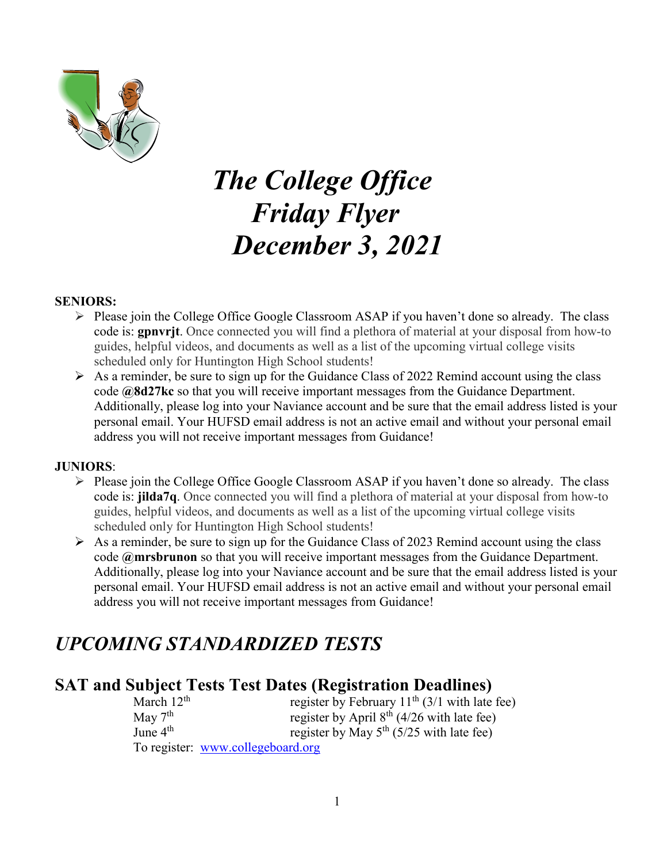

# *The College Office Friday Flyer December 3, 2021*

#### **SENIORS:**

- $\triangleright$  Please join the College Office Google Classroom ASAP if you haven't done so already. The class code is: **gpnvrjt**. Once connected you will find a plethora of material at your disposal from how-to guides, helpful videos, and documents as well as a list of the upcoming virtual college visits scheduled only for Huntington High School students!
- $\triangleright$  As a reminder, be sure to sign up for the Guidance Class of 2022 Remind account using the class code **@8d27kc** so that you will receive important messages from the Guidance Department. Additionally, please log into your Naviance account and be sure that the email address listed is your personal email. Your HUFSD email address is not an active email and without your personal email address you will not receive important messages from Guidance!

#### **JUNIORS**:

- $\triangleright$  Please join the College Office Google Classroom ASAP if you haven't done so already. The class code is: **jilda7q**. Once connected you will find a plethora of material at your disposal from how-to guides, helpful videos, and documents as well as a list of the upcoming virtual college visits scheduled only for Huntington High School students!
- $\triangleright$  As a reminder, be sure to sign up for the Guidance Class of 2023 Remind account using the class code **@mrsbrunon** so that you will receive important messages from the Guidance Department. Additionally, please log into your Naviance account and be sure that the email address listed is your personal email. Your HUFSD email address is not an active email and without your personal email address you will not receive important messages from Guidance!

# *UPCOMING STANDARDIZED TESTS*

# **SAT and Subject Tests Test Dates (Registration Deadlines)**

| March $12^{th}$ | register by February $11^{th}$ (3/1 with late fee) |
|-----------------|----------------------------------------------------|
| May $7th$       | register by April $8th$ (4/26 with late fee)       |
| June $4th$      | register by May $5^{th}$ (5/25 with late fee)      |
|                 | To register: www.collegeboard.org                  |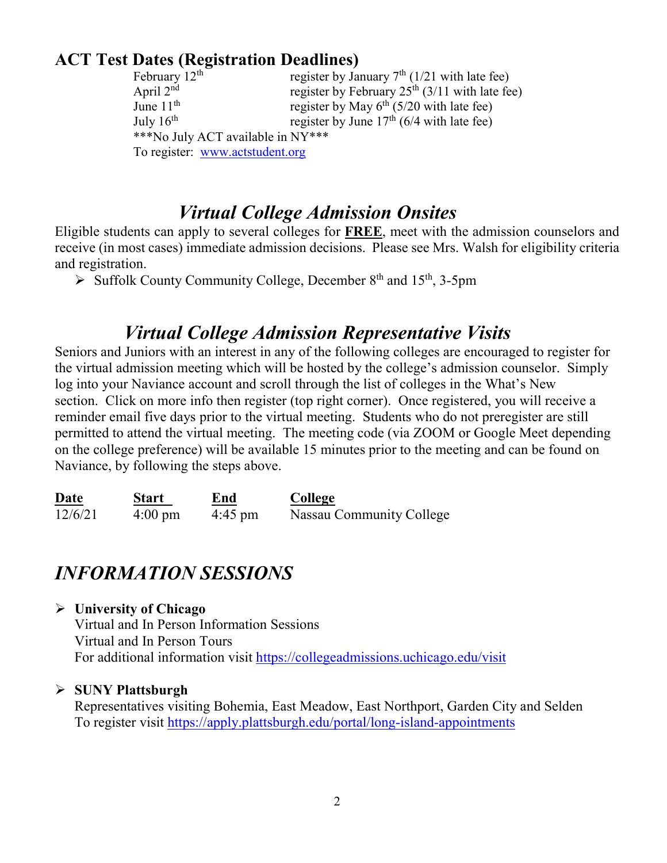# **ACT Test Dates (Registration Deadlines)**

| February $12th$                   | register by January $7th$ (1/21 with late fee)   |
|-----------------------------------|--------------------------------------------------|
| April $2nd$                       | register by February $25th$ (3/11 with late fee) |
| June $11th$                       | register by May $6^{th}$ (5/20 with late fee)    |
| July $16th$                       | register by June $17th$ (6/4 with late fee)      |
| ***No July ACT available in NY*** |                                                  |
| To register: www.actstudent.org   |                                                  |

# *Virtual College Admission Onsites*

Eligible students can apply to several colleges for **FREE**, meet with the admission counselors and receive (in most cases) immediate admission decisions. Please see Mrs. Walsh for eligibility criteria and registration.

 $\triangleright$  Suffolk County Community College, December 8<sup>th</sup> and 15<sup>th</sup>, 3-5pm

# *Virtual College Admission Representative Visits*

Seniors and Juniors with an interest in any of the following colleges are encouraged to register for the virtual admission meeting which will be hosted by the college's admission counselor. Simply log into your Naviance account and scroll through the list of colleges in the What's New section. Click on more info then register (top right corner). Once registered, you will receive a reminder email five days prior to the virtual meeting. Students who do not preregister are still permitted to attend the virtual meeting. The meeting code (via ZOOM or Google Meet depending on the college preference) will be available 15 minutes prior to the meeting and can be found on Naviance, by following the steps above.

| Date    | Start             | End               | College                  |
|---------|-------------------|-------------------|--------------------------|
| 12/6/21 | $4:00 \text{ pm}$ | $4:45 \text{ pm}$ | Nassau Community College |

# *INFORMATION SESSIONS*

#### **University of Chicago**

Virtual and In Person Information Sessions Virtual and In Person Tours For additional information visit<https://collegeadmissions.uchicago.edu/visit>

# **SUNY Plattsburgh**

Representatives visiting Bohemia, East Meadow, East Northport, Garden City and Selden To register visit<https://apply.plattsburgh.edu/portal/long-island-appointments>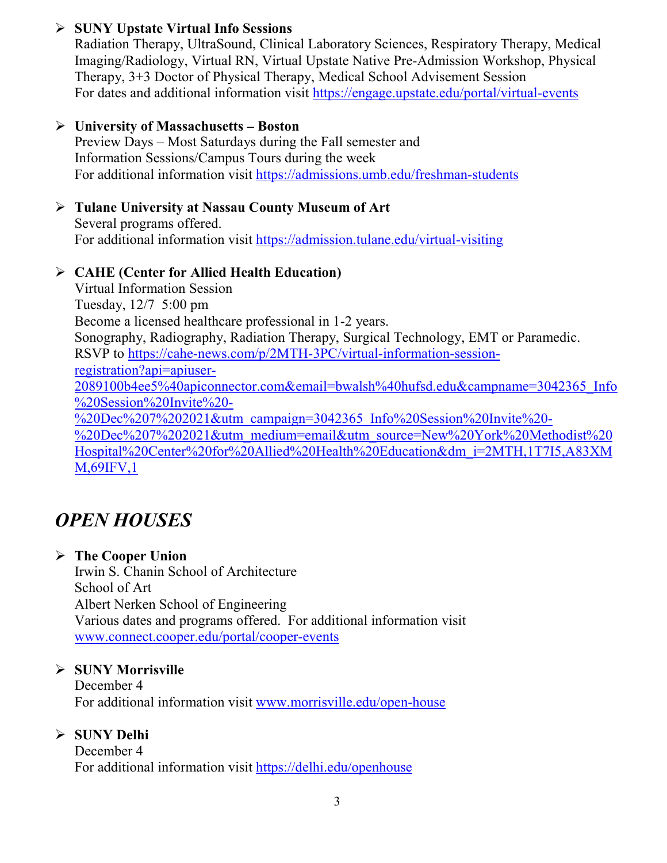### **SUNY Upstate Virtual Info Sessions**

Radiation Therapy, UltraSound, Clinical Laboratory Sciences, Respiratory Therapy, Medical Imaging/Radiology, Virtual RN, Virtual Upstate Native Pre-Admission Workshop, Physical Therapy, 3+3 Doctor of Physical Therapy, Medical School Advisement Session For dates and additional information visit<https://engage.upstate.edu/portal/virtual-events>

#### **University of Massachusetts – Boston**

Preview Days – Most Saturdays during the Fall semester and Information Sessions/Campus Tours during the week For additional information visit<https://admissions.umb.edu/freshman-students>

# **Tulane University at Nassau County Museum of Art**

Several programs offered. For additional information visit<https://admission.tulane.edu/virtual-visiting>

#### **CAHE (Center for Allied Health Education)**

Virtual Information Session Tuesday, 12/7 5:00 pm Become a licensed healthcare professional in 1-2 years. Sonography, Radiography, Radiation Therapy, Surgical Technology, EMT or Paramedic. RSVP to [https://cahe-news.com/p/2MTH-3PC/virtual-information-session](https://cahe-news.com/p/2MTH-3PC/virtual-information-session-registration?api=apiuser-2089100b4ee5%40apiconnector.com&email=bwalsh%40hufsd.edu&campname=3042365_Info%20Session%20Invite%20-%20Dec%207%202021&utm_campaign=3042365_Info%20Session%20Invite%20-%20Dec%207%202021&utm_medium=email&utm_source=New%20York%20Methodist%20Hospital%20Center%20for%20Allied%20Health%20Education&dm_i=2MTH,1T7I5,A83XMM,69IFV,1)[registration?api=apiuser-](https://cahe-news.com/p/2MTH-3PC/virtual-information-session-registration?api=apiuser-2089100b4ee5%40apiconnector.com&email=bwalsh%40hufsd.edu&campname=3042365_Info%20Session%20Invite%20-%20Dec%207%202021&utm_campaign=3042365_Info%20Session%20Invite%20-%20Dec%207%202021&utm_medium=email&utm_source=New%20York%20Methodist%20Hospital%20Center%20for%20Allied%20Health%20Education&dm_i=2MTH,1T7I5,A83XMM,69IFV,1)[2089100b4ee5%40apiconnector.com&email=bwalsh%40hufsd.edu&campname=3042365\\_Info](https://cahe-news.com/p/2MTH-3PC/virtual-information-session-registration?api=apiuser-2089100b4ee5%40apiconnector.com&email=bwalsh%40hufsd.edu&campname=3042365_Info%20Session%20Invite%20-%20Dec%207%202021&utm_campaign=3042365_Info%20Session%20Invite%20-%20Dec%207%202021&utm_medium=email&utm_source=New%20York%20Methodist%20Hospital%20Center%20for%20Allied%20Health%20Education&dm_i=2MTH,1T7I5,A83XMM,69IFV,1) [%20Session%20Invite%20-](https://cahe-news.com/p/2MTH-3PC/virtual-information-session-registration?api=apiuser-2089100b4ee5%40apiconnector.com&email=bwalsh%40hufsd.edu&campname=3042365_Info%20Session%20Invite%20-%20Dec%207%202021&utm_campaign=3042365_Info%20Session%20Invite%20-%20Dec%207%202021&utm_medium=email&utm_source=New%20York%20Methodist%20Hospital%20Center%20for%20Allied%20Health%20Education&dm_i=2MTH,1T7I5,A83XMM,69IFV,1) [%20Dec%207%202021&utm\\_campaign=3042365\\_Info%20Session%20Invite%20-](https://cahe-news.com/p/2MTH-3PC/virtual-information-session-registration?api=apiuser-2089100b4ee5%40apiconnector.com&email=bwalsh%40hufsd.edu&campname=3042365_Info%20Session%20Invite%20-%20Dec%207%202021&utm_campaign=3042365_Info%20Session%20Invite%20-%20Dec%207%202021&utm_medium=email&utm_source=New%20York%20Methodist%20Hospital%20Center%20for%20Allied%20Health%20Education&dm_i=2MTH,1T7I5,A83XMM,69IFV,1) [%20Dec%207%202021&utm\\_medium=email&utm\\_source=New%20York%20Methodist%20](https://cahe-news.com/p/2MTH-3PC/virtual-information-session-registration?api=apiuser-2089100b4ee5%40apiconnector.com&email=bwalsh%40hufsd.edu&campname=3042365_Info%20Session%20Invite%20-%20Dec%207%202021&utm_campaign=3042365_Info%20Session%20Invite%20-%20Dec%207%202021&utm_medium=email&utm_source=New%20York%20Methodist%20Hospital%20Center%20for%20Allied%20Health%20Education&dm_i=2MTH,1T7I5,A83XMM,69IFV,1) [Hospital%20Center%20for%20Allied%20Health%20Education&dm\\_i=2MTH,1T7I5,A83XM](https://cahe-news.com/p/2MTH-3PC/virtual-information-session-registration?api=apiuser-2089100b4ee5%40apiconnector.com&email=bwalsh%40hufsd.edu&campname=3042365_Info%20Session%20Invite%20-%20Dec%207%202021&utm_campaign=3042365_Info%20Session%20Invite%20-%20Dec%207%202021&utm_medium=email&utm_source=New%20York%20Methodist%20Hospital%20Center%20for%20Allied%20Health%20Education&dm_i=2MTH,1T7I5,A83XMM,69IFV,1) [M,69IFV,1](https://cahe-news.com/p/2MTH-3PC/virtual-information-session-registration?api=apiuser-2089100b4ee5%40apiconnector.com&email=bwalsh%40hufsd.edu&campname=3042365_Info%20Session%20Invite%20-%20Dec%207%202021&utm_campaign=3042365_Info%20Session%20Invite%20-%20Dec%207%202021&utm_medium=email&utm_source=New%20York%20Methodist%20Hospital%20Center%20for%20Allied%20Health%20Education&dm_i=2MTH,1T7I5,A83XMM,69IFV,1)

# *OPEN HOUSES*

# **The Cooper Union**

Irwin S. Chanin School of Architecture School of Art Albert Nerken School of Engineering Various dates and programs offered. For additional information visit [www.connect.cooper.edu/portal/cooper-events](http://www.connect.cooper.edu/portal/cooper-events)

# **SUNY Morrisville**

December 4 For additional information visit [www.morrisville.edu/open-house](http://www.morrisville.edu/open-house)

# **SUNY Delhi**

December 4 For additional information visit<https://delhi.edu/openhouse>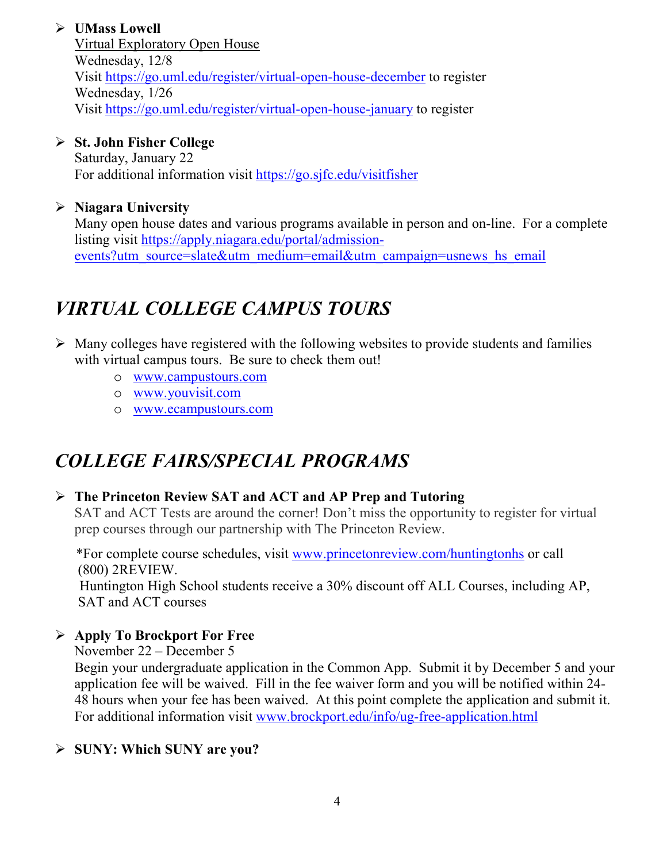# **UMass Lowell**

Virtual Exploratory Open House Wednesday, 12/8 Visit<https://go.uml.edu/register/virtual-open-house-december> to register Wednesday, 1/26 Visit<https://go.uml.edu/register/virtual-open-house-january> to register

### **St. John Fisher College**

Saturday, January 22 For additional information visit<https://go.sjfc.edu/visitfisher>

# **Niagara University**

Many open house dates and various programs available in person and on-line. For a complete listing visit [https://apply.niagara.edu/portal/admission](https://apply.niagara.edu/portal/admission-events?utm_source=slate&utm_medium=email&utm_campaign=usnews_hs_email)[events?utm\\_source=slate&utm\\_medium=email&utm\\_campaign=usnews\\_hs\\_email](https://apply.niagara.edu/portal/admission-events?utm_source=slate&utm_medium=email&utm_campaign=usnews_hs_email)

# *VIRTUAL COLLEGE CAMPUS TOURS*

- $\triangleright$  Many colleges have registered with the following websites to provide students and families with virtual campus tours. Be sure to check them out!
	- o [www.campustours.com](http://www.campustours.com/)
	- o [www.youvisit.com](http://www.youvisit.com/)
	- o [www.ecampustours.com](http://www.ecampustours.com/)

# *COLLEGE FAIRS/SPECIAL PROGRAMS*

# **The Princeton Review SAT and ACT and AP Prep and Tutoring**

SAT and ACT Tests are around the corner! Don't miss the opportunity to register for virtual prep courses through our partnership with The Princeton Review.

 \*For complete course schedules, visit [www.princetonreview.com/huntingtonhs](http://www.princetonreview.com/huntingtonhs) or call (800) 2REVIEW.

 Huntington High School students receive a 30% discount off ALL Courses, including AP, SAT and ACT courses

# **Apply To Brockport For Free**

November 22 – December 5

Begin your undergraduate application in the Common App. Submit it by December 5 and your application fee will be waived. Fill in the fee waiver form and you will be notified within 24- 48 hours when your fee has been waived. At this point complete the application and submit it. For additional information visit [www.brockport.edu/info/ug-free-application.html](http://www.brockport.edu/info/ug-free-application.html)

# **SUNY: Which SUNY are you?**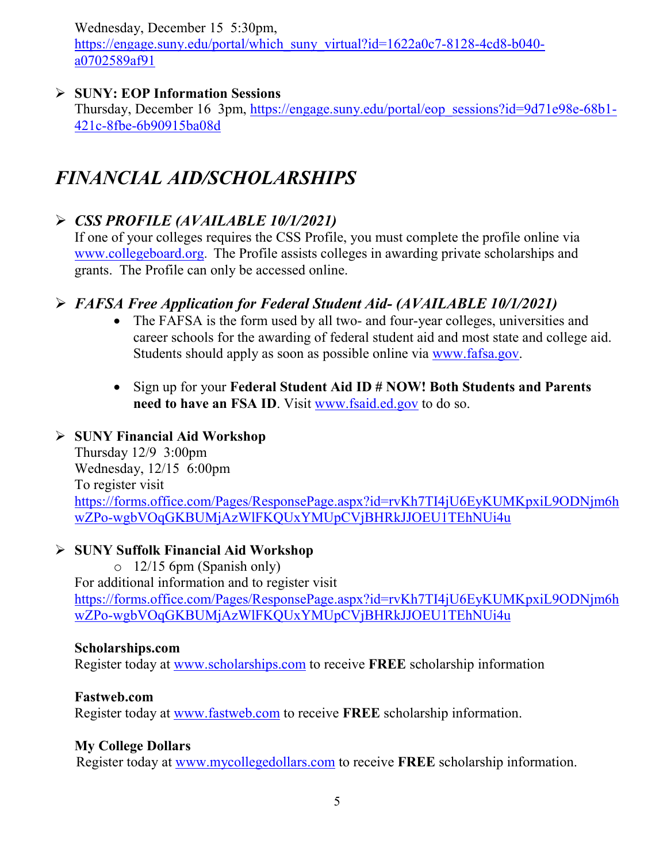Wednesday, December 15 5:30pm,

[https://engage.suny.edu/portal/which\\_suny\\_virtual?id=1622a0c7-8128-4cd8-b040](https://engage.suny.edu/portal/which_suny_virtual?id=1622a0c7-8128-4cd8-b040-a0702589af91) [a0702589af91](https://engage.suny.edu/portal/which_suny_virtual?id=1622a0c7-8128-4cd8-b040-a0702589af91)

# **SUNY: EOP Information Sessions**

Thursday, December 16 3pm, [https://engage.suny.edu/portal/eop\\_sessions?id=9d71e98e-68b1-](https://engage.suny.edu/portal/eop_sessions?id=9d71e98e-68b1-421c-8fbe-6b90915ba08d) [421c-8fbe-6b90915ba08d](https://engage.suny.edu/portal/eop_sessions?id=9d71e98e-68b1-421c-8fbe-6b90915ba08d)

# *FINANCIAL AID/SCHOLARSHIPS*

# *CSS PROFILE (AVAILABLE 10/1/2021)*

If one of your colleges requires the CSS Profile, you must complete the profile online via [www.collegeboard.org](http://www.collegeboard.org/). The Profile assists colleges in awarding private scholarships and grants. The Profile can only be accessed online.

# *FAFSA Free Application for Federal Student Aid- (AVAILABLE 10/1/2021)*

- The FAFSA is the form used by all two- and four-year colleges, universities and career schools for the awarding of [federal student aid](http://studentaid.ed.gov/students/publications/student_guide/2010-2011/english/typesofFSA_grants.htm) and most state and college aid. Students should apply as soon as possible online via [www.fafsa.gov.](http://www.fafsa.gov/)
- Sign up for your **Federal Student Aid ID # NOW! Both Students and Parents**  need to have an FSA ID. Visit [www.fsaid.ed.gov](http://www.fsaid.ed.gov/) to do so.

# **SUNY Financial Aid Workshop**

Thursday 12/9 3:00pm Wednesday, 12/15 6:00pm To register visit [https://forms.office.com/Pages/ResponsePage.aspx?id=rvKh7TI4jU6EyKUMKpxiL9ODNjm6h](https://forms.office.com/Pages/ResponsePage.aspx?id=rvKh7TI4jU6EyKUMKpxiL9ODNjm6hwZPo-wgbVOqGKBUMjAzWlFKQUxYMUpCVjBHRkJJOEU1TEhNUi4u) [wZPo-wgbVOqGKBUMjAzWlFKQUxYMUpCVjBHRkJJOEU1TEhNUi4u](https://forms.office.com/Pages/ResponsePage.aspx?id=rvKh7TI4jU6EyKUMKpxiL9ODNjm6hwZPo-wgbVOqGKBUMjAzWlFKQUxYMUpCVjBHRkJJOEU1TEhNUi4u)

# **SUNY Suffolk Financial Aid Workshop**

o 12/15 6pm (Spanish only) For additional information and to register visit [https://forms.office.com/Pages/ResponsePage.aspx?id=rvKh7TI4jU6EyKUMKpxiL9ODNjm6h](https://forms.office.com/Pages/ResponsePage.aspx?id=rvKh7TI4jU6EyKUMKpxiL9ODNjm6hwZPo-wgbVOqGKBUMjAzWlFKQUxYMUpCVjBHRkJJOEU1TEhNUi4u) [wZPo-wgbVOqGKBUMjAzWlFKQUxYMUpCVjBHRkJJOEU1TEhNUi4u](https://forms.office.com/Pages/ResponsePage.aspx?id=rvKh7TI4jU6EyKUMKpxiL9ODNjm6hwZPo-wgbVOqGKBUMjAzWlFKQUxYMUpCVjBHRkJJOEU1TEhNUi4u)

# **Scholarships.com**

Register today at [www.scholarships.com](http://www.scholarships.com/) to receive **FREE** scholarship information

# **Fastweb.com**

Register today at [www.fastweb.com](http://www.fastweb.com/) to receive **FREE** scholarship information.

# **My College Dollars**

Register today at [www.mycollegedollars.com](http://www.mycollegedollars.com/) to receive **FREE** scholarship information.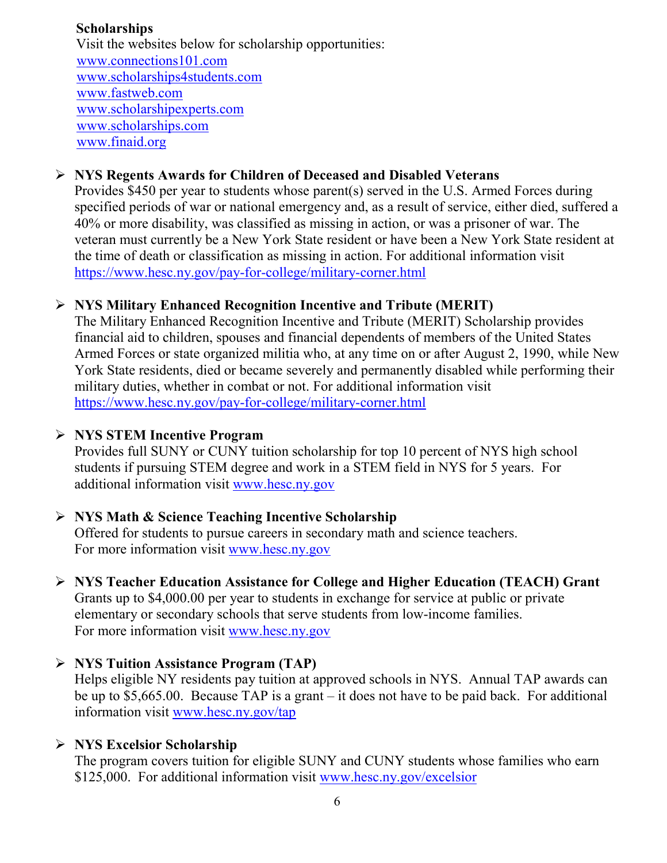#### **Scholarships**

 Visit the websites below for scholarship opportunities: [www.connections101.com](http://www.connections101.com/) [www.scholarships4students.com](http://www.scholarships4students.com/) [www.fastweb.com](http://www.fastweb.com/) [www.scholarshipexperts.com](http://www.scholarshipexperts.com/) [www.scholarships.com](http://www.scholarships.com/) [www.finaid.org](http://www.finaid.org/)

#### **NYS Regents Awards for Children of Deceased and Disabled Veterans**

Provides \$450 per year to students whose parent(s) served in the U.S. Armed Forces during specified periods of war or national emergency and, as a result of service, either died, suffered a 40% or more disability, was classified as missing in action, or was a prisoner of war. The veteran must currently be a New York State resident or have been a New York State resident at the time of death or classification as missing in action. For additional information visit <https://www.hesc.ny.gov/pay-for-college/military-corner.html>

#### **NYS Military Enhanced Recognition Incentive and Tribute (MERIT)**

The Military Enhanced Recognition Incentive and Tribute (MERIT) Scholarship provides financial aid to children, spouses and financial dependents of members of the United States Armed Forces or state organized militia who, at any time on or after August 2, 1990, while New York State residents, died or became severely and permanently disabled while performing their military duties, whether in combat or not. For additional information visit <https://www.hesc.ny.gov/pay-for-college/military-corner.html>

#### **NYS STEM Incentive Program**

Provides full SUNY or CUNY tuition scholarship for top 10 percent of NYS high school students if pursuing STEM degree and work in a STEM field in NYS for 5 years. For additional information visit [www.hesc.ny.gov](http://www.hesc.ny.gov/)

#### **NYS Math & Science Teaching Incentive Scholarship**

Offered for students to pursue careers in secondary math and science teachers. For more information visit [www.hesc.ny.gov](http://www.hesc.ny.gov/)

#### **NYS Teacher Education Assistance for College and Higher Education (TEACH) Grant** Grants up to \$4,000.00 per year to students in exchange for service at public or private elementary or secondary schools that serve students from low-income families. For more information visit [www.hesc.ny.gov](http://www.hesc.ny.gov/)

#### **NYS Tuition Assistance Program (TAP)**

Helps eligible NY residents pay tuition at approved schools in NYS. Annual TAP awards can be up to \$5,665.00. Because TAP is a grant – it does not have to be paid back. For additional information visit [www.hesc.ny.gov/tap](http://www.hesc.ny.gov/tap)

#### **NYS Excelsior Scholarship**

The program covers tuition for eligible SUNY and CUNY students whose families who earn \$125,000. For additional information visit [www.hesc.ny.gov/](http://www.hesc.ny.gov/)excelsior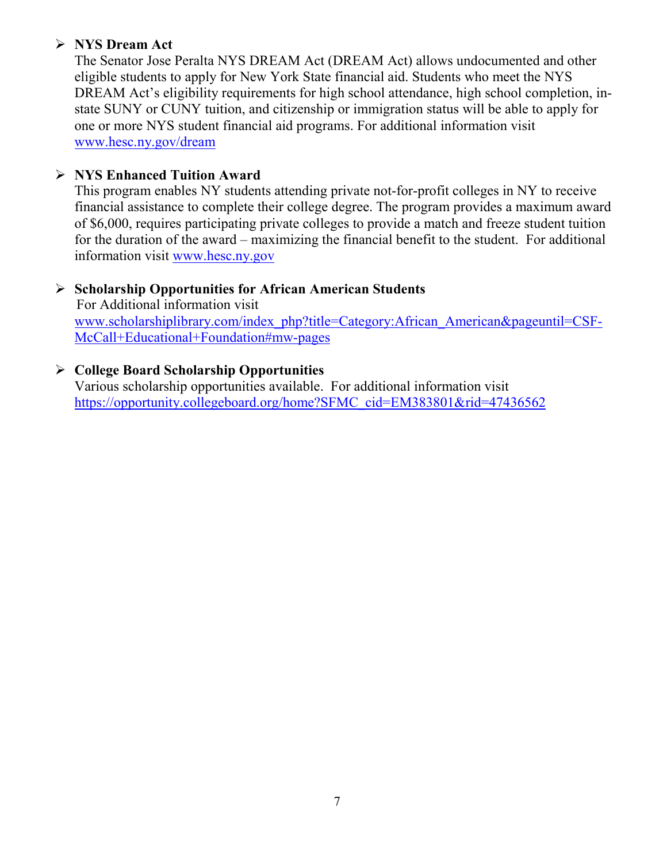# **NYS Dream Act**

The Senator Jose Peralta NYS DREAM Act (DREAM Act) allows undocumented and other eligible students to apply for New York State financial aid. Students who meet the NYS DREAM Act's eligibility requirements for high school attendance, high school completion, instate SUNY or CUNY tuition, and citizenship or immigration status will be able to apply for one or more NYS student financial aid programs. For additional information visit [www.hesc.ny.gov/dream](http://www.hesc.ny.gov/dream)

# **NYS Enhanced Tuition Award**

This program enables NY students attending private not-for-profit colleges in NY to receive financial assistance to complete their college degree. The program provides a maximum award of \$6,000, requires participating private colleges to provide a match and freeze student tuition for the duration of the award – maximizing the financial benefit to the student. For additional information visit [www.hesc.ny.gov](http://www.hesc.ny.gov/)

# **Scholarship Opportunities for African American Students**

 For Additional information visit [www.scholarshiplibrary.com/index\\_php?title=Category:African\\_American&pageuntil=CSF-](http://www.scholarshiplibrary.com/index_php?title=Category:African_American&pageuntil=CSF-%20%20%20McCall+Educational+Foundation#mw-pages)[McCall+Educational+Foundation#mw-pages](http://www.scholarshiplibrary.com/index_php?title=Category:African_American&pageuntil=CSF-%20%20%20McCall+Educational+Foundation#mw-pages)

# **College Board Scholarship Opportunities**

Various scholarship opportunities available. For additional information visit [https://opportunity.collegeboard.org/home?SFMC\\_cid=EM383801&rid=47436562](https://opportunity.collegeboard.org/home?SFMC_cid=EM383801&rid=47436562)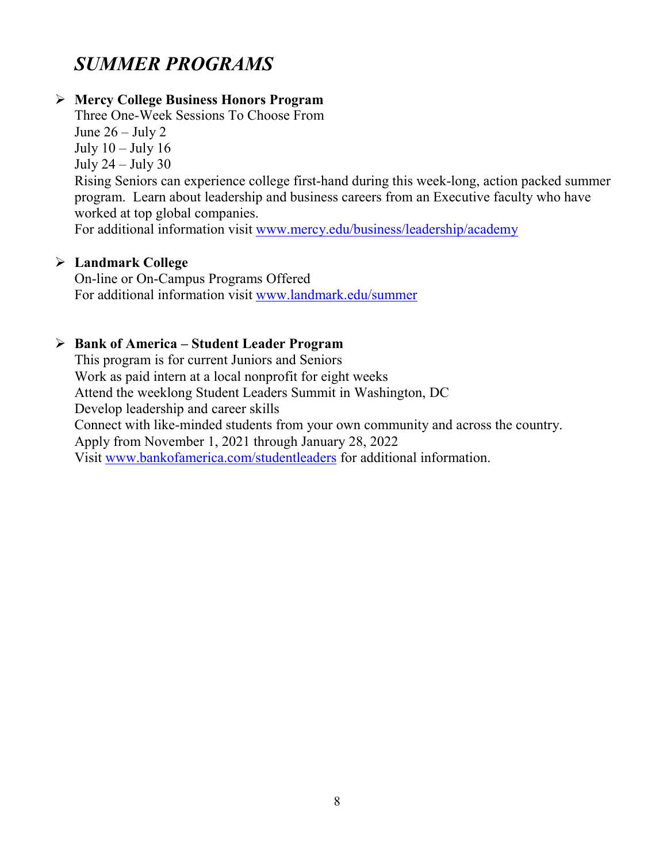# *SUMMER PROGRAMS*

#### **Mercy College Business Honors Program**

Three One-Week Sessions To Choose From June  $26 -$  July 2 July 10 – July 16 July 24 – July 30 Rising Seniors can experience college first-hand during this week-long, action packed summer program. Learn about leadership and business careers from an Executive faculty who have worked at top global companies.

For additional information visit [www.mercy.edu/business/leadership/academy](http://www.mercy.edu/business/leadership/academy)

#### **Landmark College**

On-line or On-Campus Programs Offered For additional information visit [www.landmark.edu/summer](http://www.landmark.edu/summer)

#### **Bank of America – Student Leader Program**

This program is for current Juniors and Seniors Work as paid intern at a local nonprofit for eight weeks Attend the weeklong Student Leaders Summit in Washington, DC Develop leadership and career skills Connect with like-minded students from your own community and across the country. Apply from November 1, 2021 through January 28, 2022 Visit [www.bankofamerica.com/studentleaders](http://www.bankofamerica.com/studentleaders) for additional information.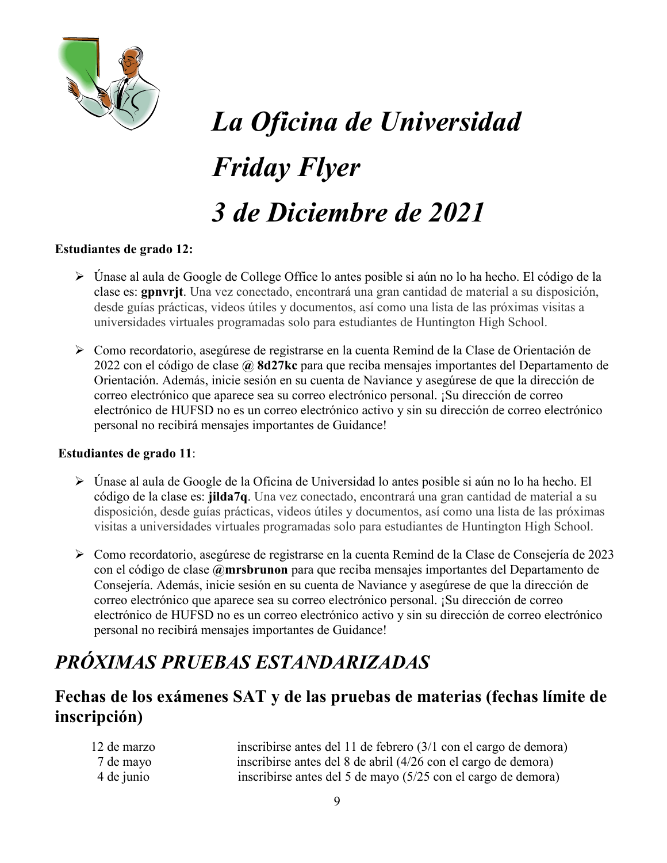

# *La Oficina de Universidad Friday Flyer 3 de Diciembre de 2021*

#### **Estudiantes de grado 12:**

- Únase al aula de Google de College Office lo antes posible si aún no lo ha hecho. El código de la clase es: **gpnvrjt**. Una vez conectado, encontrará una gran cantidad de material a su disposición, desde guías prácticas, videos útiles y documentos, así como una lista de las próximas visitas a universidades virtuales programadas solo para estudiantes de Huntington High School.
- Como recordatorio, asegúrese de registrarse en la cuenta Remind de la Clase de Orientación de 2022 con el código de clase **@ 8d27kc** para que reciba mensajes importantes del Departamento de Orientación. Además, inicie sesión en su cuenta de Naviance y asegúrese de que la dirección de correo electrónico que aparece sea su correo electrónico personal. ¡Su dirección de correo electrónico de HUFSD no es un correo electrónico activo y sin su dirección de correo electrónico personal no recibirá mensajes importantes de Guidance!

#### **Estudiantes de grado 11**:

- Únase al aula de Google de la Oficina de Universidad lo antes posible si aún no lo ha hecho. El código de la clase es: **jilda7q**. Una vez conectado, encontrará una gran cantidad de material a su disposición, desde guías prácticas, videos útiles y documentos, así como una lista de las próximas visitas a universidades virtuales programadas solo para estudiantes de Huntington High School.
- Como recordatorio, asegúrese de registrarse en la cuenta Remind de la Clase de Consejería de 2023 con el código de clase **@mrsbrunon** para que reciba mensajes importantes del Departamento de Consejería. Además, inicie sesión en su cuenta de Naviance y asegúrese de que la dirección de correo electrónico que aparece sea su correo electrónico personal. ¡Su dirección de correo electrónico de HUFSD no es un correo electrónico activo y sin su dirección de correo electrónico personal no recibirá mensajes importantes de Guidance!

# *PRÓXIMAS PRUEBAS ESTANDARIZADAS*

# **Fechas de los exámenes SAT y de las pruebas de materias (fechas límite de inscripción)**

| 12 de marzo | inscribirse antes del 11 de febrero (3/1 con el cargo de demora) |
|-------------|------------------------------------------------------------------|
| 7 de mayo   | inscribirse antes del 8 de abril (4/26 con el cargo de demora)   |
| 4 de junio  | inscribirse antes del 5 de mayo (5/25 con el cargo de demora)    |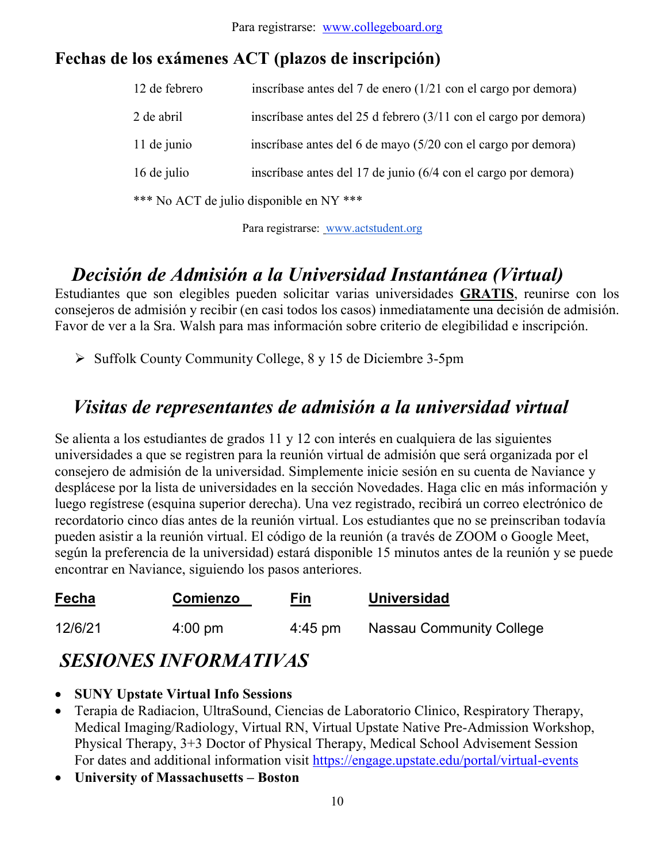# **Fechas de los exámenes ACT (plazos de inscripción)**

| 12 de febrero | inscríbase antes del 7 de enero (1/21 con el cargo por demora)             |
|---------------|----------------------------------------------------------------------------|
| 2 de abril    | inscríbase antes del 25 d febrero $(3/11 \text{ con el cargo por demora})$ |
| 11 de junio   | inscríbase antes del 6 de mayo (5/20 con el cargo por demora)              |
| 16 de julio   | inscríbase antes del 17 de junio (6/4 con el cargo por demora)             |
|               | *** No ACT de julio disponible en NY ***                                   |

Para registrarse: [www.actstudent.org](http://www.actstudent.org/)

# *Decisión de Admisión a la Universidad Instantánea (Virtual)*

Estudiantes que son elegibles pueden solicitar varias universidades **GRATIS**, reunirse con los consejeros de admisión y recibir (en casi todos los casos) inmediatamente una decisión de admisión. Favor de ver a la Sra. Walsh para mas información sobre criterio de elegibilidad e inscripción.

 $\triangleright$  Suffolk County Community College, 8 y 15 de Diciembre 3-5pm

# *Visitas de representantes de admisión a la universidad virtual*

Se alienta a los estudiantes de grados 11 y 12 con interés en cualquiera de las siguientes universidades a que se registren para la reunión virtual de admisión que será organizada por el consejero de admisión de la universidad. Simplemente inicie sesión en su cuenta de Naviance y desplácese por la lista de universidades en la sección Novedades. Haga clic en más información y luego regístrese (esquina superior derecha). Una vez registrado, recibirá un correo electrónico de recordatorio cinco días antes de la reunión virtual. Los estudiantes que no se preinscriban todavía pueden asistir a la reunión virtual. El código de la reunión (a través de ZOOM o Google Meet, según la preferencia de la universidad) estará disponible 15 minutos antes de la reunión y se puede encontrar en Naviance, siguiendo los pasos anteriores.

| Fecha   | Comienzo          | Fin               | <b>Universidad</b>              |
|---------|-------------------|-------------------|---------------------------------|
| 12/6/21 | $4:00 \text{ pm}$ | $4:45 \text{ pm}$ | <b>Nassau Community College</b> |

# *SESIONES INFORMATIVAS*

- **SUNY Upstate Virtual Info Sessions**
- Terapia de Radiacion, UltraSound, Ciencias de Laboratorio Clinico, Respiratory Therapy, Medical Imaging/Radiology, Virtual RN, Virtual Upstate Native Pre-Admission Workshop, Physical Therapy, 3+3 Doctor of Physical Therapy, Medical School Advisement Session For dates and additional information visit<https://engage.upstate.edu/portal/virtual-events>
- **University of Massachusetts – Boston**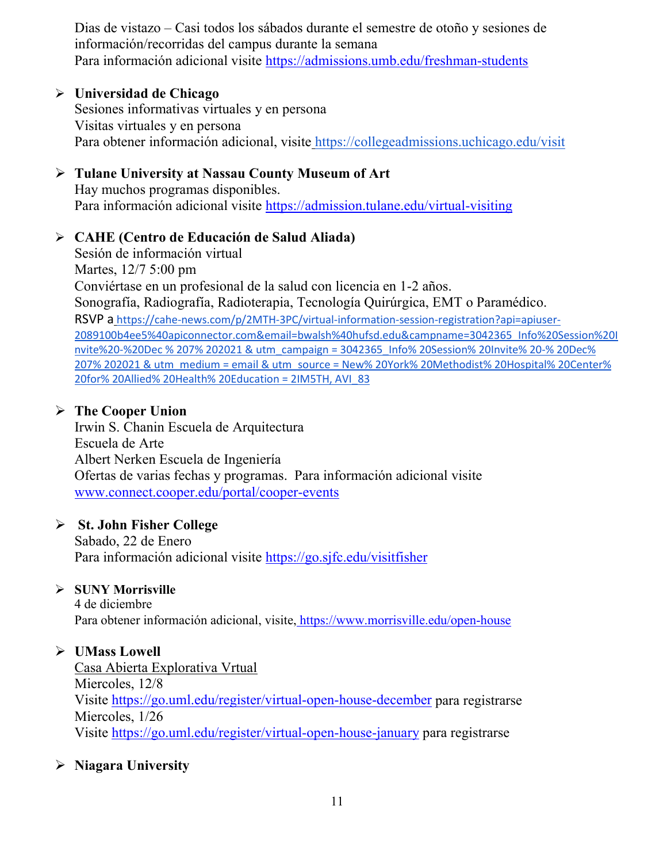Dias de vistazo – Casi todos los sábados durante el semestre de otoño y sesiones de información/recorridas del campus durante la semana Para información adicional visite<https://admissions.umb.edu/freshman-students>

#### **Universidad de Chicago**

Sesiones informativas virtuales y en persona Visitas virtuales y en persona Para obtener información adicional, visite <https://collegeadmissions.uchicago.edu/visit>

# **Tulane University at Nassau County Museum of Art**

Hay muchos programas disponibles. Para información adicional visite <https://admission.tulane.edu/virtual-visiting>

#### **CAHE (Centro de Educación de Salud Aliada)**

Sesión de información virtual Martes, 12/7 5:00 pm Conviértase en un profesional de la salud con licencia en 1-2 años. Sonografía, Radiografía, Radioterapia, Tecnología Quirúrgica, EMT o Paramédico. RSVP a [https://cahe-news.com/p/2MTH-3PC/virtual-information-session-registration?api=apiuser-](https://cahe-news.com/p/2MTH-3PC/virtual-information-session-registration?api=apiuser-2089100b4ee5%40apiconnector.com&email=bwalsh%40hufsd.edu&campname=3042365_Info%20Session%20Invite%20-%20Dec%207%202021&utm_campaign=3042365_Info%20Session%20Invite%20-%20Dec%207%202021&utm_medium=email&utm_source=New%20York%20Methodist%20Hospital%20Center%20for%20Allied%20Health%20Education&dm_i=2MTH,1T7I5,A83XMM,69IFV,1)[2089100b4ee5%40apiconnector.com&email=bwalsh%40hufsd.edu&campname=3042365\\_Info%20Session%20I](https://cahe-news.com/p/2MTH-3PC/virtual-information-session-registration?api=apiuser-2089100b4ee5%40apiconnector.com&email=bwalsh%40hufsd.edu&campname=3042365_Info%20Session%20Invite%20-%20Dec%207%202021&utm_campaign=3042365_Info%20Session%20Invite%20-%20Dec%207%202021&utm_medium=email&utm_source=New%20York%20Methodist%20Hospital%20Center%20for%20Allied%20Health%20Education&dm_i=2MTH,1T7I5,A83XMM,69IFV,1) nvite%20-%20Dec % 207% 202021 [& utm\\_campaign = 3042365\\_Info% 20Session% 20Invite% 20-% 20Dec%](https://cahe-news.com/p/2MTH-3PC/virtual-information-session-registration?api=apiuser-2089100b4ee5%40apiconnector.com&email=bwalsh%40hufsd.edu&campname=3042365_Info%20Session%20Invite%20-%20Dec%207%202021&utm_campaign=3042365_Info%20Session%20Invite%20-%20Dec%207%202021&utm_medium=email&utm_source=New%20York%20Methodist%20Hospital%20Center%20for%20Allied%20Health%20Education&dm_i=2MTH,1T7I5,A83XMM,69IFV,1)  [207% 202021 & utm\\_medium = email & utm\\_source = New% 20York% 20Methodist% 20Hospital% 20Center%](https://cahe-news.com/p/2MTH-3PC/virtual-information-session-registration?api=apiuser-2089100b4ee5%40apiconnector.com&email=bwalsh%40hufsd.edu&campname=3042365_Info%20Session%20Invite%20-%20Dec%207%202021&utm_campaign=3042365_Info%20Session%20Invite%20-%20Dec%207%202021&utm_medium=email&utm_source=New%20York%20Methodist%20Hospital%20Center%20for%20Allied%20Health%20Education&dm_i=2MTH,1T7I5,A83XMM,69IFV,1)  [20for% 20Allied% 20Health% 20Education = 2IM5TH, AVI\\_83](https://cahe-news.com/p/2MTH-3PC/virtual-information-session-registration?api=apiuser-2089100b4ee5%40apiconnector.com&email=bwalsh%40hufsd.edu&campname=3042365_Info%20Session%20Invite%20-%20Dec%207%202021&utm_campaign=3042365_Info%20Session%20Invite%20-%20Dec%207%202021&utm_medium=email&utm_source=New%20York%20Methodist%20Hospital%20Center%20for%20Allied%20Health%20Education&dm_i=2MTH,1T7I5,A83XMM,69IFV,1)

# **The Cooper Union**

Irwin S. Chanin Escuela de Arquitectura Escuela de Arte Albert Nerken Escuela de Ingeniería Ofertas de varias fechas y programas. Para información adicional visite [www.connect.cooper.edu/portal/cooper-events](http://www.connect.cooper.edu/portal/cooper-events)

# **St. John Fisher College**

Sabado, 22 de Enero Para información adicional visite<https://go.sjfc.edu/visitfisher>

# **SUNY Morrisville**

4 de diciembre Para obtener información adicional, visite, <https://www.morrisville.edu/open-house>

# **UMass Lowell**

Casa Abierta Explorativa Vrtual Miercoles, 12/8 Visite<https://go.uml.edu/register/virtual-open-house-december> para registrarse Miercoles, 1/26 Visite<https://go.uml.edu/register/virtual-open-house-january> para registrarse

# **Niagara University**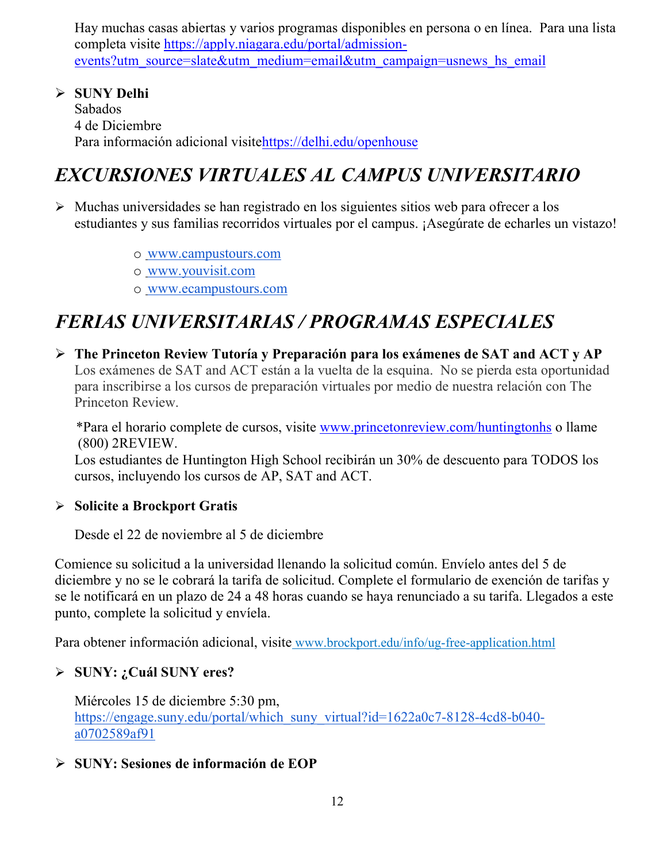Hay muchas casas abiertas y varios programas disponibles en persona o en línea. Para una lista completa visite [https://apply.niagara.edu/portal/admission](https://apply.niagara.edu/portal/admission-events?utm_source=slate&utm_medium=email&utm_campaign=usnews_hs_email)[events?utm\\_source=slate&utm\\_medium=email&utm\\_campaign=usnews\\_hs\\_email](https://apply.niagara.edu/portal/admission-events?utm_source=slate&utm_medium=email&utm_campaign=usnews_hs_email)

 **SUNY Delhi** Sabados 4 de Diciembre Para información adicional visit[ehttps://delhi.edu/openhouse](https://delhi.edu/openhouse)

# *EXCURSIONES VIRTUALES AL CAMPUS UNIVERSITARIO*

- $\triangleright$  Muchas universidades se han registrado en los siguientes sitios web para ofrecer a los estudiantes y sus familias recorridos virtuales por el campus. ¡Asegúrate de echarles un vistazo!
	- o [www.campustours.com](http://www.campustours.com/)
	- o [www.youvisit.com](http://www.youvisit.com/)
	- o [www.ecampustours.com](http://www.ecampustours.com/)

# *FERIAS UNIVERSITARIAS / PROGRAMAS ESPECIALES*

 **The Princeton Review Tutoría y Preparación para los exámenes de SAT and ACT y AP**  Los exámenes de SAT and ACT están a la vuelta de la esquina. No se pierda esta oportunidad para inscribirse a los cursos de preparación virtuales por medio de nuestra relación con The Princeton Review.

 \*Para el horario complete de cursos, visite [www.princetonreview.com/huntingtonhs](http://www.princetonreview.com/huntingtonhs) o llame (800) 2REVIEW.

Los estudiantes de Huntington High School recibirán un 30% de descuento para TODOS los cursos, incluyendo los cursos de AP, SAT and ACT.

# **Solicite a Brockport Gratis**

Desde el 22 de noviembre al 5 de diciembre

Comience su solicitud a la universidad llenando la solicitud común. Envíelo antes del 5 de diciembre y no se le cobrará la tarifa de solicitud. Complete el formulario de exención de tarifas y se le notificará en un plazo de 24 a 48 horas cuando se haya renunciado a su tarifa. Llegados a este punto, complete la solicitud y envíela.

Para obtener información adicional, visite [www.brockport.edu/info/ug-free-application.html](http://www.brockport.edu/info/ug-free-application.html)

# **SUNY: ¿Cuál SUNY eres?**

Miércoles 15 de diciembre 5:30 pm[,](https://engage.suny.edu/portal/which_suny_virtual?id=1622a0c7-8128-4cd8-b040-a0702589af91) [https://engage.suny.edu/portal/which\\_suny\\_virtual?id=1622a0c7-8128-4cd8-b040](https://engage.suny.edu/portal/which_suny_virtual?id=1622a0c7-8128-4cd8-b040-a0702589af91) [a0702589af91](https://engage.suny.edu/portal/which_suny_virtual?id=1622a0c7-8128-4cd8-b040-a0702589af91)

# **SUNY: Sesiones de información de EOP**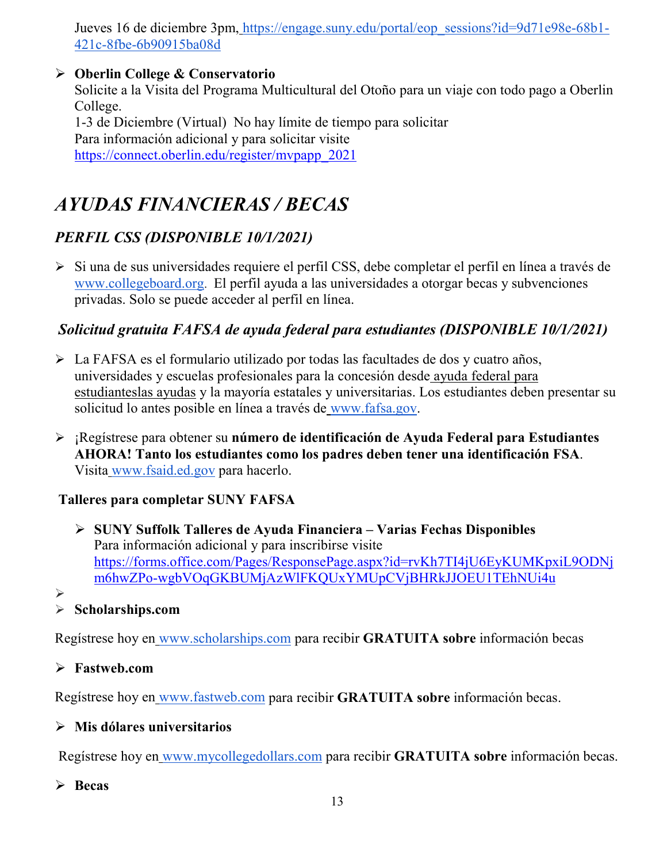Jueves 16 de diciembre 3pm, [https://engage.suny.edu/portal/eop\\_sessions?id=9d71e98e-68b1-](https://engage.suny.edu/portal/eop_sessions?id=9d71e98e-68b1-421c-8fbe-6b90915ba08d) [421c-8fbe-6b90915ba08d](https://engage.suny.edu/portal/eop_sessions?id=9d71e98e-68b1-421c-8fbe-6b90915ba08d)

# **Oberlin College & Conservatorio**

Solicite a la Visita del Programa Multicultural del Otoño para un viaje con todo pago a Oberlin College. 1-3 de Diciembre (Virtual) No hay límite de tiempo para solicitar Para información adicional y para solicitar visite [https://connect.oberlin.edu/register/mvpapp\\_2021](https://connect.oberlin.edu/register/mvpapp_2021)

# *AYUDAS FINANCIERAS / BECAS*

# *PERFIL CSS (DISPONIBLE 10/1/2021)*

 Si una de sus universidades requiere el perfil CSS, debe completar el perfil en línea a través d[e](http://www.collegeboard.org/) [www.collegeboard.org.](http://www.collegeboard.org/) El perfil ayuda a las universidades a otorgar becas y subvenciones privadas. Solo se puede acceder al perfil en línea.

# *Solicitud gratuita FAFSA de ayuda federal para estudiantes (DISPONIBLE 10/1/2021)*

- La FAFSA es el formulario utilizado por todas las facultades de dos y cuatro años, universidades y escuelas profesionales para la concesión desde [ayuda federal para](http://studentaid.ed.gov/students/publications/student_guide/2010-2011/english/typesofFSA_grants.htm)  [estudianteslas ayudas](http://studentaid.ed.gov/students/publications/student_guide/2010-2011/english/typesofFSA_grants.htm) y la mayoría estatales y universitarias. Los estudiantes deben presentar su solicitud lo antes posible en línea a través de [www.fafsa.gov.](http://www.fafsa.gov/)
- ¡Regístrese para obtener su **número de identificación de Ayuda Federal para Estudiantes AHORA! Tanto los estudiantes como los padres deben tener una identificación FSA**. Visita [www.fsaid.ed.gov](http://www.fsaid.ed.gov/) para hacerlo.

# **Talleres para completar SUNY FAFSA**

- **SUNY Suffolk Talleres de Ayuda Financiera – Varias Fechas Disponibles** Para información adicional y para inscribirse visite [https://forms.office.com/Pages/ResponsePage.aspx?id=rvKh7TI4jU6EyKUMKpxiL9ODNj](https://forms.office.com/Pages/ResponsePage.aspx?id=rvKh7TI4jU6EyKUMKpxiL9ODNjm6hwZPo-wgbVOqGKBUMjAzWlFKQUxYMUpCVjBHRkJJOEU1TEhNUi4u) [m6hwZPo-wgbVOqGKBUMjAzWlFKQUxYMUpCVjBHRkJJOEU1TEhNUi4u](https://forms.office.com/Pages/ResponsePage.aspx?id=rvKh7TI4jU6EyKUMKpxiL9ODNjm6hwZPo-wgbVOqGKBUMjAzWlFKQUxYMUpCVjBHRkJJOEU1TEhNUi4u)
- $\blacktriangleright$

# **Scholarships.com**

Regístrese hoy en [www.scholarships.com](http://www.scholarships.com/) para recibir **GRATUITA sobre** información becas

# **Fastweb.com**

Regístrese hoy en [www.fastweb.com](http://www.fastweb.com/) para recibir **GRATUITA sobre** información becas.

# **Mis dólares universitarios**

Regístrese hoy en [www.mycollegedollars.com](http://www.mycollegedollars.com/) para recibir **GRATUITA sobre** información becas.

# **Becas**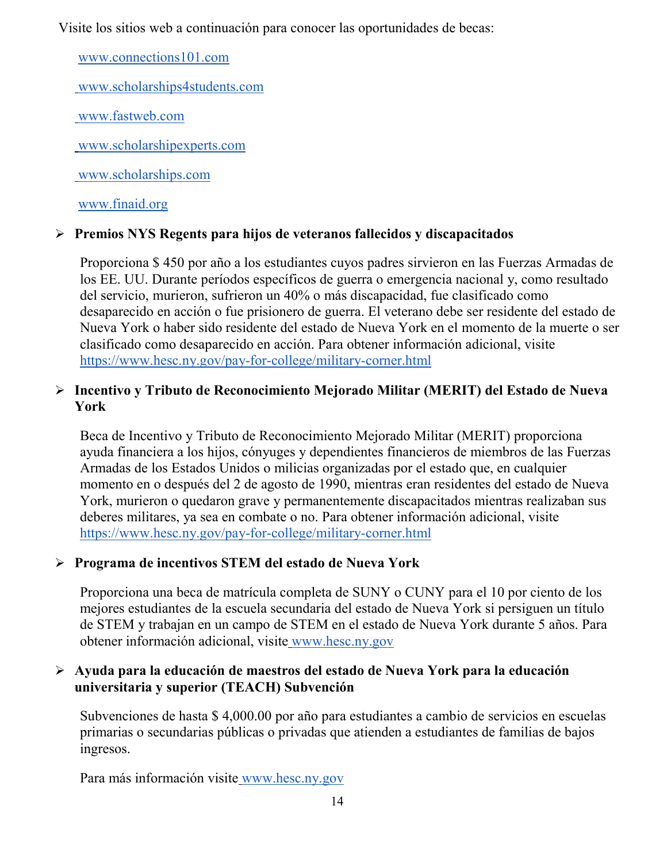Visite los sitios web a continuación para conocer las oportunidades de becas:

[www.connections101.com](http://www.connections101.com/)

[www.scholarships4students.com](http://www.scholarships4students.com/)

[www.fastweb.com](http://www.fastweb.com/)

[www.scholarshipexperts.com](http://www.scholarshipexperts.com/)

[www.scholarships.com](http://www.scholarships.com/)

[www.finaid.org](http://www.finaid.org/)

# **Premios NYS Regents para hijos de veteranos fallecidos y discapacitados**

Proporciona \$ 450 por año a los estudiantes cuyos padres sirvieron en las Fuerzas Armadas de los EE. UU. Durante períodos específicos de guerra o emergencia nacional y, como resultado del servicio, murieron, sufrieron un 40% o más discapacidad, fue clasificado como desaparecido en acción o fue prisionero de guerra. El veterano debe ser residente del estado de Nueva York o haber sido residente del estado de Nueva York en el momento de la muerte o ser clasificado como desaparecido en acción. Para obtener información adicional, visit[e](https://www.hesc.ny.gov/pay-for-college/military-corner.html) <https://www.hesc.ny.gov/pay-for-college/military-corner.html>

# **Incentivo y Tributo de Reconocimiento Mejorado Militar (MERIT) del Estado de Nueva York**

Beca de Incentivo y Tributo de Reconocimiento Mejorado Militar (MERIT) proporciona ayuda financiera a los hijos, cónyuges y dependientes financieros de miembros de las Fuerzas Armadas de los Estados Unidos o milicias organizadas por el estado que, en cualquier momento en o después del 2 de agosto de 1990, mientras eran residentes del estado de Nueva York, murieron o quedaron grave y permanentemente discapacitados mientras realizaban sus deberes militares, ya sea en combate o no. Para obtener información adicional, visit[e](https://www.hesc.ny.gov/pay-for-college/military-corner.html) <https://www.hesc.ny.gov/pay-for-college/military-corner.html>

# **Programa de incentivos STEM del estado de Nueva York**

Proporciona una beca de matrícula completa de SUNY o CUNY para el 10 por ciento de los mejores estudiantes de la escuela secundaria del estado de Nueva York si persiguen un título de STEM y trabajan en un campo de STEM en el estado de Nueva York durante 5 años. Para obtener información adicional, visite [www.hesc.ny.gov](http://www.hesc.ny.gov/)

#### **Ayuda para la educación de maestros del estado de Nueva York para la educación universitaria y superior (TEACH) Subvención**

Subvenciones de hasta \$ 4,000.00 por año para estudiantes a cambio de servicios en escuelas primarias o secundarias públicas o privadas que atienden a estudiantes de familias de bajos ingresos.

Para más información visite [www.hesc.ny.gov](http://www.hesc.ny.gov/)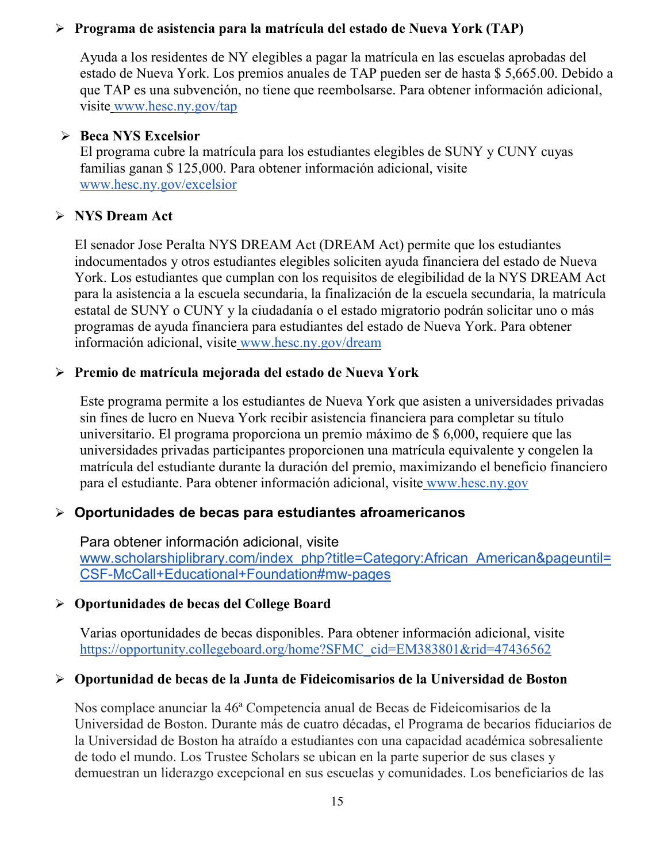#### **Programa de asistencia para la matrícula del estado de Nueva York (TAP)**

Ayuda a los residentes de NY elegibles a pagar la matrícula en las escuelas aprobadas del estado de Nueva York. Los premios anuales de TAP pueden ser de hasta \$ 5,665.00. Debido a que TAP es una subvención, no tiene que reembolsarse. Para obtener información adicional, visite [www.hesc.ny.gov/tap](http://www.hesc.ny.gov/tap)

#### **Beca NYS Excelsior**

El programa cubre la matrícula para los estudiantes elegibles de SUNY y CUNY cuyas familias ganan \$ 125,000. Para obtener información adicional, visit[e](http://www.hesc.ny.gov/) [www.hesc.ny.gov/](http://www.hesc.ny.gov/)excelsior

# **NYS Dream Act**

El senador Jose Peralta NYS DREAM Act (DREAM Act) permite que los estudiantes indocumentados y otros estudiantes elegibles soliciten ayuda financiera del estado de Nueva York. Los estudiantes que cumplan con los requisitos de elegibilidad de la NYS DREAM Act para la asistencia a la escuela secundaria, la finalización de la escuela secundaria, la matrícula estatal de SUNY o CUNY y la ciudadanía o el estado migratorio podrán solicitar uno o más programas de ayuda financiera para estudiantes del estado de Nueva York. Para obtener información adicional, visite [www.hesc.ny.gov/dream](http://www.hesc.ny.gov/dream)

#### **Premio de matrícula mejorada del estado de Nueva York**

Este programa permite a los estudiantes de Nueva York que asisten a universidades privadas sin fines de lucro en Nueva York recibir asistencia financiera para completar su título universitario. El programa proporciona un premio máximo de \$ 6,000, requiere que las universidades privadas participantes proporcionen una matrícula equivalente y congelen la matrícula del estudiante durante la duración del premio, maximizando el beneficio financiero para el estudiante. Para obtener información adicional, visite [www.hesc.ny.gov](http://www.hesc.ny.gov/)

# **Oportunidades de becas para estudiantes afroamericanos**

Para obtener información adicional, visit[e](http://www.scholarshiplibrary.com/index_php?title=Category:African_American&pageuntil=CSF-McCall+Educational+Foundation#mw-pages) [www.scholarshiplibrary.com/index\\_php?title=Category:African\\_American&pageuntil=](http://www.scholarshiplibrary.com/index_php?title=Category:African_American&pageuntil=CSF-McCall+Educational+Foundation#mw-pages) [CSF-McCall+Educational+Foundation#mw-pages](http://www.scholarshiplibrary.com/index_php?title=Category:African_American&pageuntil=CSF-McCall+Educational+Foundation#mw-pages)

#### **Oportunidades de becas del College Board**

Varias oportunidades de becas disponibles. Para obtener información adicional, visit[e](https://opportunity.collegeboard.org/home?SFMC_cid=EM383801&rid=47436562) [https://opportunity.collegeboard.org/home?SFMC\\_cid=EM383801&rid=47436562](https://opportunity.collegeboard.org/home?SFMC_cid=EM383801&rid=47436562)

# **Oportunidad de becas de la Junta de Fideicomisarios de la Universidad de Boston**

Nos complace anunciar la 46ª Competencia anual de Becas de Fideicomisarios de la Universidad de Boston. Durante más de cuatro décadas, el Programa de becarios fiduciarios de la Universidad de Boston ha atraído a estudiantes con una capacidad académica sobresaliente de todo el mundo. Los Trustee Scholars se ubican en la parte superior de sus clases y demuestran un liderazgo excepcional en sus escuelas y comunidades. Los beneficiarios de las